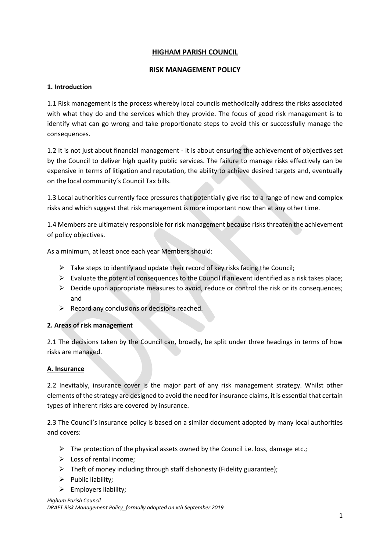# **HIGHAM PARISH COUNCIL**

### **RISK MANAGEMENT POLICY**

### **1. Introduction**

1.1 Risk management is the process whereby local councils methodically address the risks associated with what they do and the services which they provide. The focus of good risk management is to identify what can go wrong and take proportionate steps to avoid this or successfully manage the consequences.

1.2 It is not just about financial management - it is about ensuring the achievement of objectives set by the Council to deliver high quality public services. The failure to manage risks effectively can be expensive in terms of litigation and reputation, the ability to achieve desired targets and, eventually on the local community's Council Tax bills.

1.3 Local authorities currently face pressures that potentially give rise to a range of new and complex risks and which suggest that risk management is more important now than at any other time.

1.4 Members are ultimately responsible for risk management because risks threaten the achievement of policy objectives.

As a minimum, at least once each year Members should:

- $\triangleright$  Take steps to identify and update their record of key risks facing the Council;
- $\triangleright$  Evaluate the potential consequences to the Council if an event identified as a risk takes place;
- ➢ Decide upon appropriate measures to avoid, reduce or control the risk or its consequences; and
- $\triangleright$  Record any conclusions or decisions reached.

### **2. Areas of risk management**

2.1 The decisions taken by the Council can, broadly, be split under three headings in terms of how risks are managed.

### **A. Insurance**

2.2 Inevitably, insurance cover is the major part of any risk management strategy. Whilst other elements of the strategy are designed to avoid the need for insurance claims, it is essential that certain types of inherent risks are covered by insurance.

2.3 The Council's insurance policy is based on a similar document adopted by many local authorities and covers:

- $\triangleright$  The protection of the physical assets owned by the Council i.e. loss, damage etc.;
- ➢ Loss of rental income;
- ➢ Theft of money including through staff dishonesty (Fidelity guarantee);
- ➢ Public liability;
- $\triangleright$  Employers liability;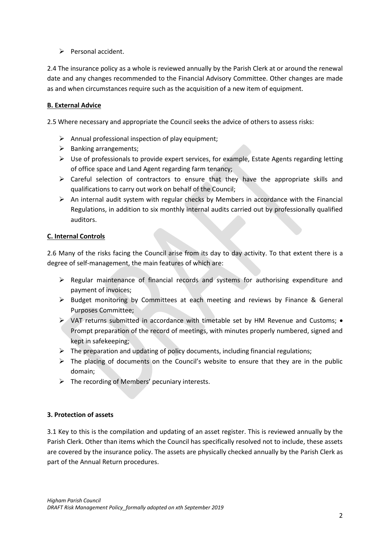➢ Personal accident.

2.4 The insurance policy as a whole is reviewed annually by the Parish Clerk at or around the renewal date and any changes recommended to the Financial Advisory Committee. Other changes are made as and when circumstances require such as the acquisition of a new item of equipment.

# **B. External Advice**

2.5 Where necessary and appropriate the Council seeks the advice of others to assess risks:

- $\triangleright$  Annual professional inspection of play equipment;
- $\triangleright$  Banking arrangements;
- $\triangleright$  Use of professionals to provide expert services, for example, Estate Agents regarding letting of office space and Land Agent regarding farm tenancy;
- ➢ Careful selection of contractors to ensure that they have the appropriate skills and qualifications to carry out work on behalf of the Council;
- $\triangleright$  An internal audit system with regular checks by Members in accordance with the Financial Regulations, in addition to six monthly internal audits carried out by professionally qualified auditors.

# **C. Internal Controls**

2.6 Many of the risks facing the Council arise from its day to day activity. To that extent there is a degree of self-management, the main features of which are:

- ➢ Regular maintenance of financial records and systems for authorising expenditure and payment of invoices;
- $\triangleright$  Budget monitoring by Committees at each meeting and reviews by Finance & General Purposes Committee;
- ➢ VAT returns submitted in accordance with timetable set by HM Revenue and Customs; Prompt preparation of the record of meetings, with minutes properly numbered, signed and kept in safekeeping;
- $\triangleright$  The preparation and updating of policy documents, including financial regulations;
- ➢ The placing of documents on the Council's website to ensure that they are in the public domain;
- $\triangleright$  The recording of Members' pecuniary interests.

### **3. Protection of assets**

3.1 Key to this is the compilation and updating of an asset register. This is reviewed annually by the Parish Clerk. Other than items which the Council has specifically resolved not to include, these assets are covered by the insurance policy. The assets are physically checked annually by the Parish Clerk as part of the Annual Return procedures.